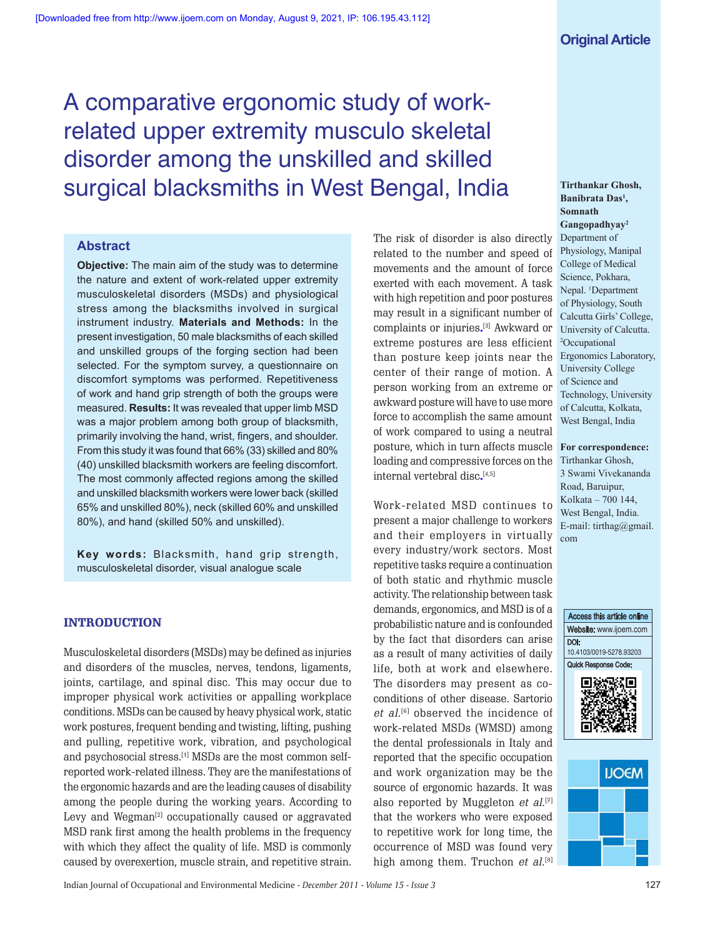# A comparative ergonomic study of workrelated upper extremity musculo skeletal disorder among the unskilled and skilled surgical blacksmiths in West Bengal, India

# **Abstract**

**Objective:** The main aim of the study was to determine the nature and extent of work-related upper extremity musculoskeletal disorders (MSDs) and physiological stress among the blacksmiths involved in surgical instrument industry. **Materials and Methods:** In the present investigation, 50 male blacksmiths of each skilled and unskilled groups of the forging section had been selected. For the symptom survey, a questionnaire on discomfort symptoms was performed. Repetitiveness of work and hand grip strength of both the groups were measured. **Results:** It was revealed that upper limb MSD was a major problem among both group of blacksmith, primarily involving the hand, wrist, fingers, and shoulder. From this study it was found that 66% (33) skilled and 80% (40) unskilled blacksmith workers are feeling discomfort. The most commonly affected regions among the skilled and unskilled blacksmith workers were lower back (skilled 65% and unskilled 80%), neck (skilled 60% and unskilled 80%), and hand (skilled 50% and unskilled).

**Key words:** Blacksmith, hand grip strength, musculoskeletal disorder, visual analogue scale

# **INTRODUCTION**

Musculoskeletal disorders (MSDs) may be defined as injuries and disorders of the muscles, nerves, tendons, ligaments, joints, cartilage, and spinal disc. This may occur due to improper physical work activities or appalling workplace conditions. MSDs can be caused by heavy physical work, static work postures, frequent bending and twisting, lifting, pushing and pulling, repetitive work, vibration, and psychological and psychosocial stress.<sup>[4]</sup> MSDs are the most common selfreported work-related illness. They are the manifestations of the ergonomic hazards and are the leading causes of disability among the people during the working years. According to Levy and Wegman<sup>[2]</sup> occupationally caused or aggravated MSD rank first among the health problems in the frequency with which they affect the quality of life. MSD is commonly caused by overexertion, muscle strain, and repetitive strain.

The risk of disorder is also directly related to the number and speed of movements and the amount of force exerted with each movement. A task with high repetition and poor postures may result in a significant number of complaints or injuries**.** [3] Awkward or extreme postures are less efficient than posture keep joints near the center of their range of motion. A person working from an extreme or awkward posture will have to use more force to accomplish the same amount of work compared to using a neutral posture, which in turn affects muscle loading and compressive forces on the internal vertebral disc**.** [4,5]

Work-related MSD continues to present a major challenge to workers and their employers in virtually every industry/work sectors. Most repetitive tasks require a continuation of both static and rhythmic muscle activity. The relationship between task demands, ergonomics, and MSD is of a probabilistic nature and is confounded by the fact that disorders can arise as a result of many activities of daily life, both at work and elsewhere. The disorders may present as coconditions of other disease. Sartorio et al.<sup>[6]</sup> observed the incidence of work-related MSDs (WMSD) among the dental professionals in Italy and reported that the specific occupation and work organization may be the source of ergonomic hazards. It was also reported by Muggleton *et al.*[<sup>7]</sup> that the workers who were exposed to repetitive work for long time, the occurrence of MSD was found very high among them. Truchon *et al.*[8]

**Tirthankar Ghosh, Banibrata Das<sup>1</sup> , Somnath Gangopadhyay<sup>2</sup>** Department of Physiology, Manipal College of Medical Science, Pokhara, Nepal. <sup>1</sup>Department of Physiology, South Calcutta Girls' College, University of Calcutta. <sup>2</sup>Occupational Ergonomics Laboratory, University College of Science and Technology, University of Calcutta, Kolkata, West Bengal, India

**For correspondence:** Tirthankar Ghosh, 3 Swami Vivekananda Road, Baruipur, Kolkata - 700 144, West Bengal, India. E-mail:  $tirthag@gmail$ . com





Indian Journal of Occupational and Environmental Medicine - *December 2011* - *Volume 15* - *Issue 3* 127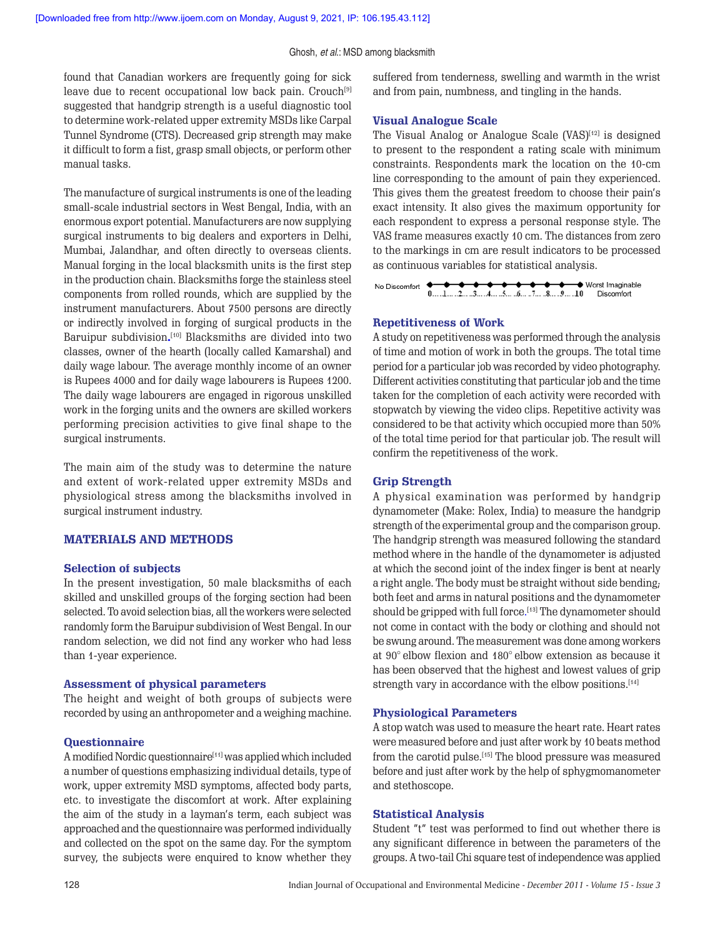found that Canadian workers are frequently going for sick leave due to recent occupational low back pain. Crouch<sup>[9]</sup> suggested that handgrip strength is a useful diagnostic tool to determine work-related upper extremity MSDs like Carpal Tunnel Syndrome (CTS). Decreased grip strength may make it difficult to form a fist, grasp small objects, or perform other manual tasks.

The manufacture of surgical instruments is one of the leading small-scale industrial sectors in West Bengal, India, with an enormous export potential. Manufacturers are now supplying surgical instruments to big dealers and exporters in Delhi, Mumbai, Jalandhar, and often directly to overseas clients. Manual forging in the local blacksmith units is the first step in the production chain. Blacksmiths forge the stainless steel components from rolled rounds, which are supplied by the instrument manufacturers. About 7500 persons are directly or indirectly involved in forging of surgical products in the Baruipur subdivision**.** [10] Blacksmiths are divided into two classes, owner of the hearth (locally called Kamarshal) and daily wage labour. The average monthly income of an owner is Rupees 4000 and for daily wage labourers is Rupees 1200. The daily wage labourers are engaged in rigorous unskilled work in the forging units and the owners are skilled workers performing precision activities to give final shape to the surgical instruments.

The main aim of the study was to determine the nature and extent of work-related upper extremity MSDs and physiological stress among the blacksmiths involved in surgical instrument industry.

## **MATERIALS AND METHODS**

#### **Selection of subjects**

In the present investigation, 50 male blacksmiths of each skilled and unskilled groups of the forging section had been selected. To avoid selection bias, all the workers were selected randomly form the Baruipur subdivision of West Bengal. In our random selection, we did not find any worker who had less than 1-year experience.

#### **Assessment of physical parameters**

The height and weight of both groups of subjects were recorded by using an anthropometer and a weighing machine.

## **Questionnaire**

A modified Nordic questionnaire<br/>[11] was applied which included a number of questions emphasizing individual details, type of work, upper extremity MSD symptoms, affected body parts, etc. to investigate the discomfort at work. After explaining the aim of the study in a layman's term, each subject was approached and the questionnaire was performed individually and collected on the spot on the same day. For the symptom survey, the subjects were enquired to know whether they suffered from tenderness, swelling and warmth in the wrist and from pain, numbness, and tingling in the hands.

#### **Visual Analogue Scale**

The Visual Analog or Analogue Scale (VAS)<sup>[12]</sup> is designed to present to the respondent a rating scale with minimum constraints. Respondents mark the location on the 10-cm line corresponding to the amount of pain they experienced. This gives them the greatest freedom to choose their pain's exact intensity. It also gives the maximum opportunity for each respondent to express a personal response style. The VAS frame measures exactly 10 cm. The distances from zero to the markings in cm are result indicators to be processed as continuous variables for statistical analysis.

### **Repetitiveness of Work**

A study on repetitiveness was performed through the analysis of time and motion of work in both the groups. The total time period for a particular job was recorded by video photography. Different activities constituting that particular job and the time taken for the completion of each activity were recorded with stopwatch by viewing the video clips. Repetitive activity was considered to be that activity which occupied more than 50% of the total time period for that particular job. The result will confirm the repetitiveness of the work.

## **Grip Strength**

A physical examination was performed by handgrip dynamometer (Make: Rolex, India) to measure the handgrip strength of the experimental group and the comparison group. The handgrip strength was measured following the standard method where in the handle of the dynamometer is adjusted at which the second joint of the index finger is bent at nearly a right angle. The body must be straight without side bending; both feet and arms in natural positions and the dynamometer should be gripped with full force. [13] The dynamometer should not come in contact with the body or clothing and should not be swung around. The measurement was done among workers at 90° elbow flexion and 180° elbow extension as because it has been observed that the highest and lowest values of grip strength vary in accordance with the elbow positions.<sup>[14]</sup>

## **Physiological Parameters**

A stop watch was used to measure the heart rate. Heart rates were measured before and just after work by 10 beats method from the carotid pulse.[15] The blood pressure was measured before and just after work by the help of sphygmomanometer and stethoscope.

## **Statistical Analysis**

Student "t" test was performed to find out whether there is any significant difference in between the parameters of the groups. A two-tail Chi square test of independence was applied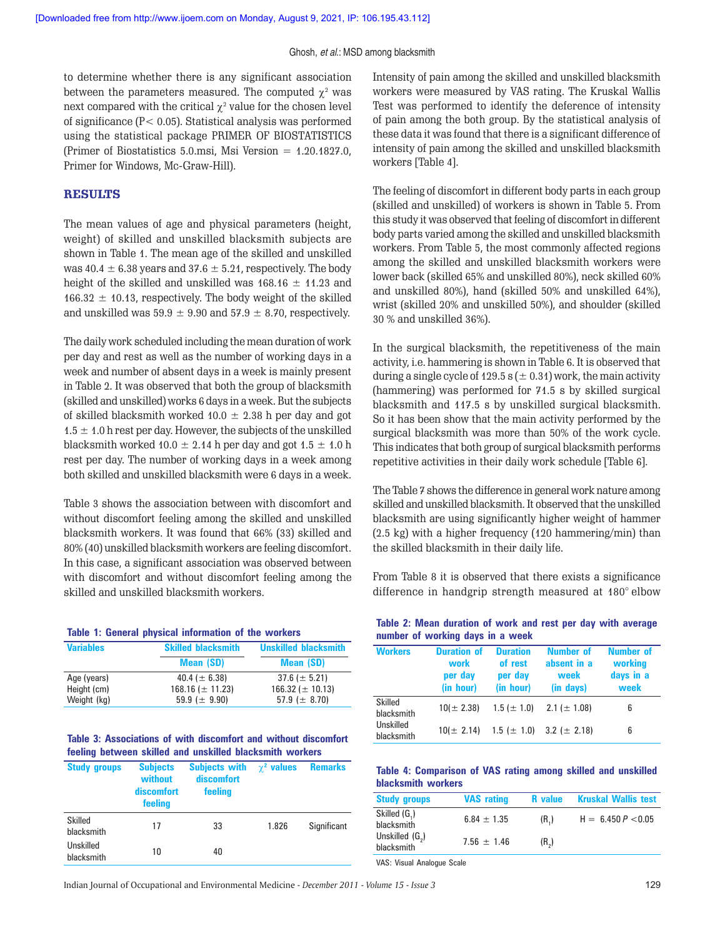to determine whether there is any significant association between the parameters measured. The computed  $\chi^2$  was next compared with the critical  $\chi^2$  value for the chosen level of significance (P< 0.05). Statistical analysis was performed using the statistical package PRIMER OF BIOSTATISTICS (Primer of Biostatistics 5.0.msi, Msi Version = 1.20.1827.0, Primer for Windows, Mc-Graw-Hill).

# **RESULTS**

The mean values of age and physical parameters (height, weight) of skilled and unskilled blacksmith subjects are shown in Table 1. The mean age of the skilled and unskilled was  $40.4 \pm 6.38$  years and  $37.6 \pm 5.21$ , respectively. The body height of the skilled and unskilled was  $168.16 \pm 11.23$  and  $166.32 \pm 10.13$ , respectively. The body weight of the skilled and unskilled was  $59.9 \pm 9.90$  and  $57.9 \pm 8.70$ , respectively.

The daily work scheduled including the mean duration of work per day and rest as well as the number of working days in a week and number of absent days in a week is mainly present in Table 2. It was observed that both the group of blacksmith (skilled and unskilled) works 6 days in a week. But the subjects of skilled blacksmith worked  $10.0 \pm 2.38$  h per day and got  $1.5 \pm 1.0$  h rest per day. However, the subjects of the unskilled blacksmith worked  $10.0 \pm 2.14$  h per day and got  $1.5 \pm 1.0$  h rest per day. The number of working days in a week among both skilled and unskilled blacksmith were 6 days in a week.

Table 3 shows the association between with discomfort and without discomfort feeling among the skilled and unskilled blacksmith workers. It was found that 66% (33) skilled and 80% (40) unskilled blacksmith workers are feeling discomfort. In this case, a significant association was observed between with discomfort and without discomfort feeling among the skilled and unskilled blacksmith workers.

|  |  |  |  |  |  | Table 1: General physical information of the workers |
|--|--|--|--|--|--|------------------------------------------------------|
|--|--|--|--|--|--|------------------------------------------------------|

| <b>Variables</b> | <b>Skilled blacksmith</b> | <b>Unskilled blacksmith</b> |
|------------------|---------------------------|-----------------------------|
|                  | <b>Mean (SD)</b>          | <b>Mean (SD)</b>            |
| Age (years)      | 40.4 ( $\pm$ 6.38)        | $37.6 (\pm 5.21)$           |
| Height (cm)      | $168.16 \ (\pm 11.23)$    | $166.32 \ (\pm 10.13)$      |
| Weight (kg)      | 59.9 ( $\pm$ 9.90)        | 57.9 ( $\pm$ 8.70)          |

|  |  |                                                          |  | Table 3: Associations of with discomfort and without discomfort |
|--|--|----------------------------------------------------------|--|-----------------------------------------------------------------|
|  |  | feeling between skilled and unskilled blacksmith workers |  |                                                                 |

| <b>Study groups</b>          | <b>Subjects</b><br>without<br>discomfort<br>feeling | <b>Subjects with</b><br>discomfort<br>feeling | $\gamma^2$ values | <b>Remarks</b> |  |
|------------------------------|-----------------------------------------------------|-----------------------------------------------|-------------------|----------------|--|
| <b>Skilled</b><br>hlacksmith | 17                                                  | 33                                            | 1.826             | Significant    |  |
| Unskilled<br>blacksmith      | 10                                                  | 40                                            |                   |                |  |

Intensity of pain among the skilled and unskilled blacksmith workers were measured by VAS rating. The Kruskal Wallis Test was performed to identify the deference of intensity of pain among the both group. By the statistical analysis of these data it was found that there is a significant difference of intensity of pain among the skilled and unskilled blacksmith workers [Table 4].

The feeling of discomfort in different body parts in each group (skilled and unskilled) of workers is shown in Table 5. From this study it was observed that feeling of discomfort in different body parts varied among the skilled and unskilled blacksmith workers. From Table 5, the most commonly affected regions among the skilled and unskilled blacksmith workers were lower back (skilled 65% and unskilled 80%), neck skilled 60% and unskilled 80%), hand (skilled 50% and unskilled 64%), wrist (skilled 20% and unskilled 50%), and shoulder (skilled 30 % and unskilled 36%).

In the surgical blacksmith, the repetitiveness of the main activity, i.e. hammering is shown in Table 6. It is observed that during a single cycle of  $129.5$  s ( $\pm$  0.31) work, the main activity (hammering) was performed for 71.5 s by skilled surgical blacksmith and 117.5 s by unskilled surgical blacksmith. So it has been show that the main activity performed by the surgical blacksmith was more than 50% of the work cycle. This indicates that both group of surgical blacksmith performs repetitive activities in their daily work schedule [Table 6].

The Table 7 shows the difference in general work nature among skilled and unskilled blacksmith. It observed that the unskilled blacksmith are using significantly higher weight of hammer (2.5 kg) with a higher frequency (120 hammering/min) than the skilled blacksmith in their daily life.

From Table 8 it is observed that there exists a significance difference in handgrip strength measured at 180° elbow

| Table 2: Mean duration of work and rest per day with average |  |  |  |  |
|--------------------------------------------------------------|--|--|--|--|
| number of working days in a week                             |  |  |  |  |

| <b>Workers</b>          | <b>Duration of</b><br>work<br>per day<br>(in hour) | <b>Duration</b><br>of rest<br>per day<br>(in hour) | Number of<br>absent in a<br>week<br>(in days) | Number of<br>working<br>days in a<br>week |
|-------------------------|----------------------------------------------------|----------------------------------------------------|-----------------------------------------------|-------------------------------------------|
| Skilled<br>blacksmith   | $10(\pm 2.38)$                                     | $1.5 (\pm 1.0)$                                    | $2.1 (\pm 1.08)$                              | 6                                         |
| Unskilled<br>blacksmith | $10 (\pm 2.14)$                                    |                                                    | $1.5 \ (\pm 1.0)$ $3.2 \ (\pm 2.18)$          | 6                                         |

**Table 4: Comparison of VAS rating among skilled and unskilled blacksmith workers**

| <b>Study groups</b>                       | <b>VAS</b> rating | <b>R</b> value    | <b>Kruskal Wallis test</b> |
|-------------------------------------------|-------------------|-------------------|----------------------------|
| Skilled (G,)<br>blacksmith                | $6.84 \pm 1.35$   | (R <sub>1</sub> ) | $H = 6.450 P < 0.05$       |
| Unskilled (G <sub>2</sub> )<br>blacksmith | $7.56 \pm 1.46$   | (R <sub>2</sub> ) |                            |
|                                           |                   |                   |                            |

VAS: Visual Analogue Scale

Indian Journal of Occupational and Environmental Medicine - *December 2011* - *Volume 15* - *Issue 3* 129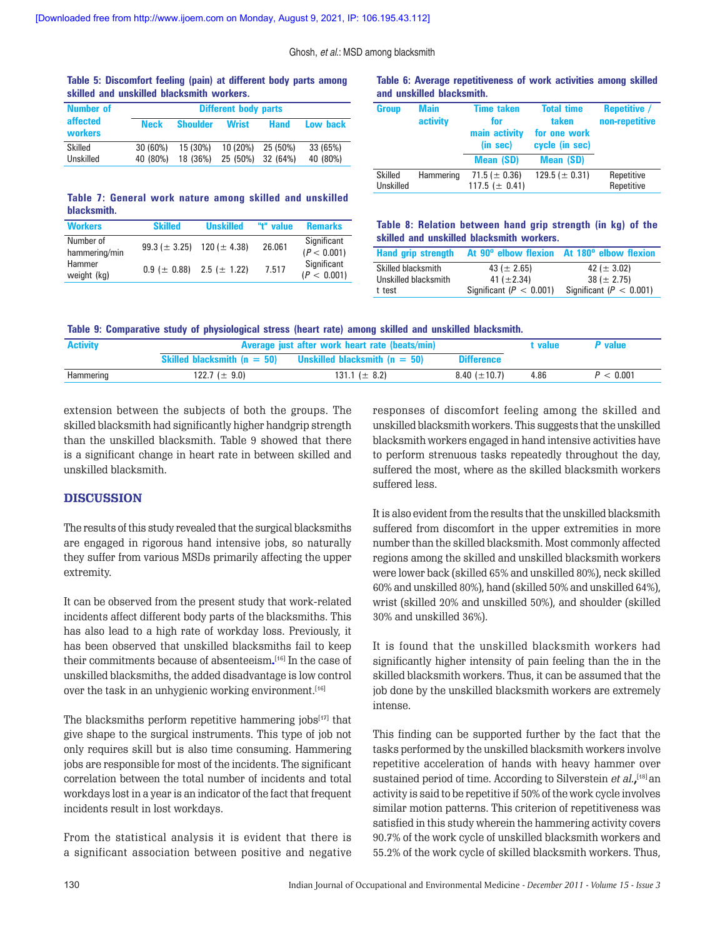## **Table 5: Discomfort feeling (pain) at different body parts among skilled and unskilled blacksmith workers.**

| <b>Number of</b>    |             |                 | <b>Different body parts</b> |                     |          |
|---------------------|-------------|-----------------|-----------------------------|---------------------|----------|
| affected<br>workers | <b>Neck</b> | <b>Shoulder</b> | <b>Wrist</b>                | <b>Hand</b>         | Low back |
| Skilled             | 30 (60%)    | 15 (30%)        |                             | $10(20\%)$ 25 (50%) | 33 (65%) |
| Unskilled           | 40 (80%)    | 18 (36%)        | 25 (50%) 32 (64%)           |                     | 40 (80%) |

## **Table 6: Average repetitiveness of work activities among skilled and unskilled blacksmith.**

| <b>Group</b>         | <b>Main</b><br>activity | <b>Time taken</b><br>for<br>main activity<br>(in sec)<br><b>Mean (SD)</b> | <b>Total time</b><br>taken<br>for one work<br>cycle (in sec)<br><b>Mean (SD)</b> | <b>Repetitive</b> /<br>non-repetitive |
|----------------------|-------------------------|---------------------------------------------------------------------------|----------------------------------------------------------------------------------|---------------------------------------|
| Skilled<br>Unskilled | Hammering               | 71.5 ( $\pm$ 0.36)<br>117.5 ( $\pm$ 0.41)                                 | 129.5 ( $\pm$ 0.31)                                                              | Repetitive<br>Repetitive              |

### **Table 7: General work nature among skilled and unskilled blacksmith.**

| <b>Workers</b>             | <b>Skilled</b>                       | <b>Unskilled</b>                      | "t" value | <b>Remarks</b>             |
|----------------------------|--------------------------------------|---------------------------------------|-----------|----------------------------|
| Number of<br>hammering/min | 99.3 ( $\pm$ 3.25) 120 ( $\pm$ 4.38) |                                       | 26.061    | Significant<br>(P < 0.001) |
| Hammer<br>weight (kg)      |                                      | $0.9$ ( $\pm$ 0.88) 2.5 ( $\pm$ 1.22) | 7.517     | Significant<br>(P < 0.001) |

**Table 8: Relation between hand grip strength (in kg) of the skilled and unskilled blacksmith workers.**

| <b>Hand grip strength</b> |                           | At 90° elbow flexion At 180° elbow flexion |
|---------------------------|---------------------------|--------------------------------------------|
| Skilled blacksmith        | 43 ( $\pm$ 2.65)          | 42 ( $\pm$ 3.02)                           |
| Unskilled blacksmith      | 41 ( $\pm$ 2.34)          | $38 (\pm 2.75)$                            |
| t test                    | Significant $(P < 0.001)$ | Significant ( $P < 0.001$ )                |

|  |  |  |  |  |  | Table 9: Comparative study of physiological stress (heart rate) among skilled and unskilled blacksmith. |
|--|--|--|--|--|--|---------------------------------------------------------------------------------------------------------|
|  |  |  |  |  |  |                                                                                                         |

| <b>Activity</b> | Average just after work heart rate (beats/min) |                                   |                    | t value | P value |
|-----------------|------------------------------------------------|-----------------------------------|--------------------|---------|---------|
|                 | Skilled blacksmith $(n = 50)$                  | Unskilled blacksmith ( $n = 50$ ) | <b>Difference</b>  |         |         |
| Hammering       | 122.7 ( $\pm$ 9.0)                             | 131.1 ( $\pm$ 8.2)                | 8.40 ( $\pm$ 10.7) | 4.86    | < 0.001 |

extension between the subjects of both the groups. The skilled blacksmith had significantly higher handgrip strength than the unskilled blacksmith. Table 9 showed that there is a significant change in heart rate in between skilled and unskilled blacksmith.

# **DISCUSSION**

The results of this study revealed that the surgical blacksmiths are engaged in rigorous hand intensive jobs, so naturally they suffer from various MSDs primarily affecting the upper extremity.

It can be observed from the present study that work-related incidents affect different body parts of the blacksmiths. This has also lead to a high rate of workday loss. Previously, it has been observed that unskilled blacksmiths fail to keep their commitments because of absenteeism**.** [16] In the case of unskilled blacksmiths, the added disadvantage is low control over the task in an unhygienic working environment.<sup>[16]</sup>

The blacksmiths perform repetitive hammering jobs $[19]$  that give shape to the surgical instruments. This type of job not only requires skill but is also time consuming. Hammering jobs are responsible for most of the incidents. The significant correlation between the total number of incidents and total workdays lost in a year is an indicator of the fact that frequent incidents result in lost workdays.

From the statistical analysis it is evident that there is a significant association between positive and negative responses of discomfort feeling among the skilled and unskilled blacksmith workers. This suggests that the unskilled blacksmith workers engaged in hand intensive activities have to perform strenuous tasks repeatedly throughout the day, suffered the most, where as the skilled blacksmith workers suffered less.

It is also evident from the results that the unskilled blacksmith suffered from discomfort in the upper extremities in more number than the skilled blacksmith. Most commonly affected regions among the skilled and unskilled blacksmith workers were lower back (skilled 65% and unskilled 80%), neck skilled 60% and unskilled 80%), hand (skilled 50% and unskilled 64%), wrist (skilled 20% and unskilled 50%), and shoulder (skilled 30% and unskilled 36%).

It is found that the unskilled blacksmith workers had significantly higher intensity of pain feeling than the in the skilled blacksmith workers. Thus, it can be assumed that the job done by the unskilled blacksmith workers are extremely intense.

This finding can be supported further by the fact that the tasks performed by the unskilled blacksmith workers involve repetitive acceleration of hands with heavy hammer over sustained period of time. According to Silverstein et al.**,** [18] an activity is said to be repetitive if 50% of the work cycle involves similar motion patterns. This criterion of repetitiveness was satisfied in this study wherein the hammering activity covers 90.7% of the work cycle of unskilled blacksmith workers and 55.2% of the work cycle of skilled blacksmith workers. Thus,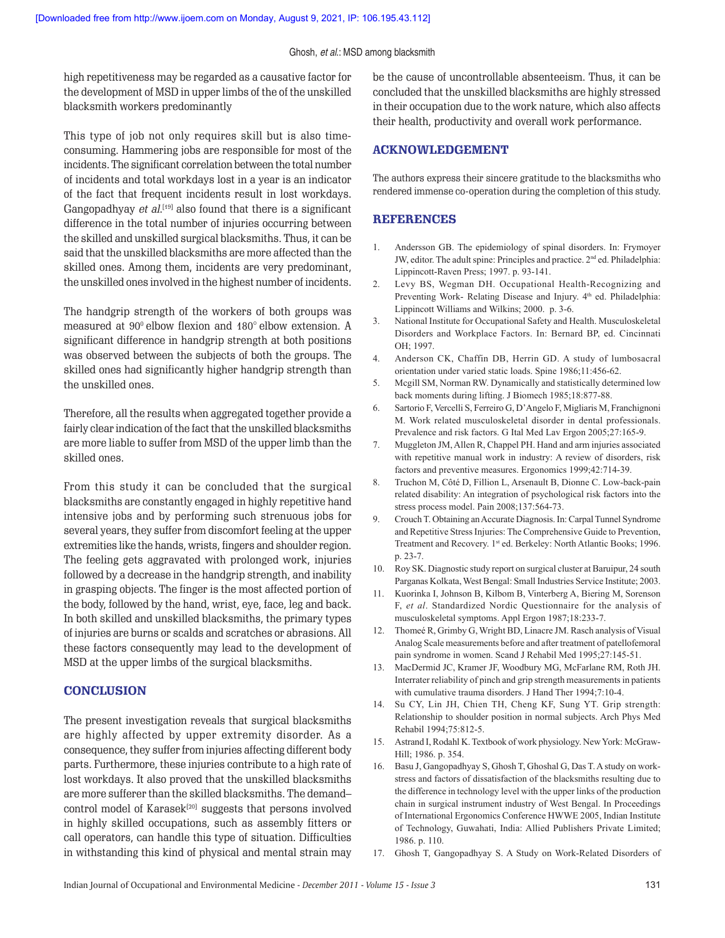high repetitiveness may be regarded as a causative factor for the development of MSD in upper limbs of the of the unskilled blacksmith workers predominantly

This type of job not only requires skill but is also timeconsuming. Hammering jobs are responsible for most of the incidents. The significant correlation between the total number of incidents and total workdays lost in a year is an indicator of the fact that frequent incidents result in lost workdays. Gangopadhyay *et al.*<sup>[19]</sup> also found that there is a significant difference in the total number of injuries occurring between the skilled and unskilled surgical blacksmiths. Thus, it can be said that the unskilled blacksmiths are more affected than the skilled ones. Among them, incidents are very predominant, the unskilled ones involved in the highest number of incidents.

The handgrip strength of the workers of both groups was measured at 90° elbow flexion and 180° elbow extension. A significant difference in handgrip strength at both positions was observed between the subjects of both the groups. The skilled ones had significantly higher handgrip strength than the unskilled ones.

Therefore, all the results when aggregated together provide a fairly clear indication of the fact that the unskilled blacksmiths are more liable to suffer from MSD of the upper limb than the skilled ones.

From this study it can be concluded that the surgical blacksmiths are constantly engaged in highly repetitive hand intensive jobs and by performing such strenuous jobs for several years, they suffer from discomfort feeling at the upper extremities like the hands, wrists, fingers and shoulder region. The feeling gets aggravated with prolonged work, injuries followed by a decrease in the handgrip strength, and inability in grasping objects. The finger is the most affected portion of the body, followed by the hand, wrist, eye, face, leg and back. In both skilled and unskilled blacksmiths, the primary types of injuries are burns or scalds and scratches or abrasions. All these factors consequently may lead to the development of MSD at the upper limbs of the surgical blacksmiths.

## **CONCLUSION**

The present investigation reveals that surgical blacksmiths are highly affected by upper extremity disorder. As a consequence, they suffer from injuries affecting different body parts. Furthermore, these injuries contribute to a high rate of lost workdays. It also proved that the unskilled blacksmiths are more sufferer than the skilled blacksmiths. The demand– control model of Karasek<sup>[20]</sup> suggests that persons involved in highly skilled occupations, such as assembly fitters or call operators, can handle this type of situation. Difficulties in withstanding this kind of physical and mental strain may

be the cause of uncontrollable absenteeism. Thus, it can be concluded that the unskilled blacksmiths are highly stressed in their occupation due to the work nature, which also affects their health, productivity and overall work performance.

## **ACKNOWLEDGEMENT**

The authors express their sincere gratitude to the blacksmiths who rendered immense co-operation during the completion of this study.

## **REFERENCES**

- 1. Andersson GB. The epidemiology of spinal disorders. In: Frymoyer JW, editor. The adult spine: Principles and practice. 2<sup>nd</sup> ed. Philadelphia: Lippincott-Raven Press; 1997. p. 93-141.
- 2. Levy BS, Wegman DH. Occupational Health-Recognizing and Preventing Work- Relating Disease and Injury.  $4<sup>th</sup>$  ed. Philadelphia: Lippincott Williams and Wilkins; 2000. p. 3-6.
- 3. National Institute for Occupational Safety and Health. Musculoskeletal Disorders and Workplace Factors. In: Bernard BP, ed. Cincinnati OH: 1997.
- 4. Anderson CK, Chaffin DB, Herrin GD. A study of lumbosacral orientation under varied static loads. Spine 1986;11:456-62.
- 5. Mcgill SM, Norman RW. Dynamically and statistically determined low back moments during lifting. J Biomech 1985;18:877-88.
- 6. Sartorio F, Vercelli S, Ferreiro G, D'Angelo F, Migliaris M, Franchignoni M. Work related musculoskeletal disorder in dental professionals. Prevalence and risk factors. G Ital Med Lav Ergon 2005;27:165-9.
- 7. Muggleton JM, Allen R, Chappel PH. Hand and arm injuries associated with repetitive manual work in industry: A review of disorders, risk factors and preventive measures. Ergonomics 1999;42:714-39.
- 8. Truchon M, Côté D, Fillion L, Arsenault B, Dionne C. Low-back-pain related disability: An integration of psychological risk factors into the stress process model. Pain 2008;137:564-73.
- 9. Crouch T. Obtaining an Accurate Diagnosis. In: Carpal Tunnel Syndrome and Repetitive Stress Injuries: The Comprehensive Guide to Prevention, Treatment and Recovery. 1<sup>st</sup> ed. Berkeley: North Atlantic Books; 1996. p. 23-7.
- 10. Roy SK. Diagnostic study report on surgical cluster at Baruipur, 24 south Parganas Kolkata, West Bengal: Small Industries Service Institute; 2003.
- Kuorinka I, Johnson B, Kilbom B, Vinterberg A, Biering M, Sorenson F, et al. Standardized Nordic Questionnaire for the analysis of musculoskeletal symptoms. Appl Ergon 1987;18:233-7.
- 12. Thomeé R, Grimby G, Wright BD, Linacre JM. Rasch analysis of Visual Analog Scale measurements before and after treatment of patellofemoral pain syndrome in women. Scand J Rehabil Med 1995;27:145-51.
- 13. MacDermid JC, Kramer JF, Woodbury MG, McFarlane RM, Roth JH. Interrater reliability of pinch and grip strength measurements in patients with cumulative trauma disorders. J Hand Ther 1994;7:10-4.
- 14. Su CY, Lin JH, Chien TH, Cheng KF, Sung YT. Grip strength: Relationship to shoulder position in normal subjects. Arch Phys Med Rehabil 1994;75:812-5.
- 15. Astrand I, Rodahl K. Textbook of work physiology. New York: McGraw-Hill; 1986. p. 354.
- 16. Basu J, Gangopadhyay S, Ghosh T, Ghoshal G, Das T. A study on workstress and factors of dissatisfaction of the blacksmiths resulting due to the difference in technology level with the upper links of the production chain in surgical instrument industry of West Bengal. In Proceedings of International Ergonomics Conference HWWE 2005, Indian Institute of Technology, Guwahati, India: Allied Publishers Private Limited; 1986. p. 110.
- 17. Ghosh T, Gangopadhyay S. A Study on Work-Related Disorders of